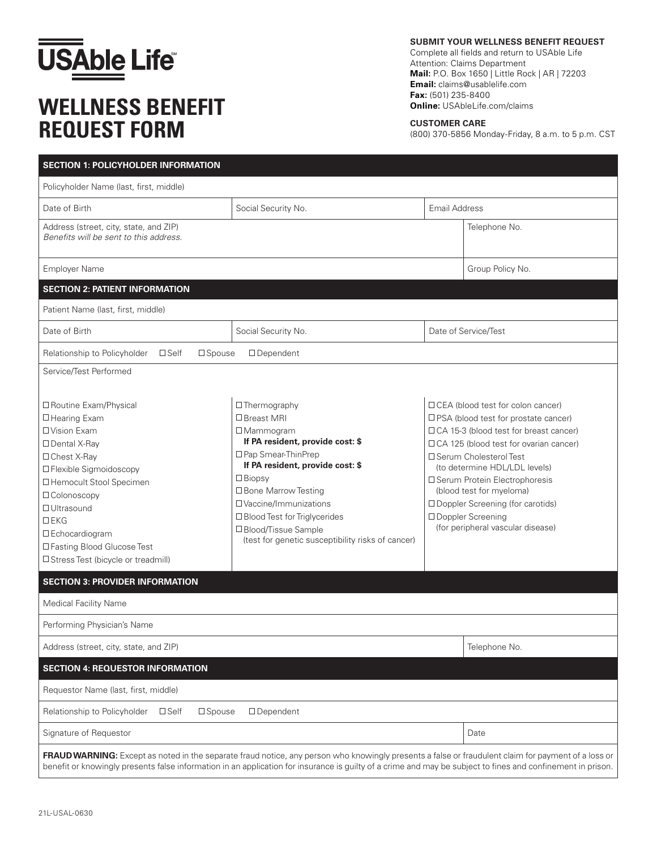

## **WELLNESS BENEFIT REQUEST FORM**

**SUBMIT YOUR WELLNESS BENEFIT REQUEST**

Complete all fields and return to USAble Life Attention: Claims Department **Mail:** P.O. Box 1650 | Little Rock | AR | 72203 **Email:** claims@usablelife.com **Fax:** (501) 235-8400 **Online:** USAbleLife.com/claims

**CUSTOMER CARE**

(800) 370-5856 Monday-Friday, 8 a.m. to 5 p.m. CST

| <b>SECTION 1: POLICYHOLDER INFORMATION</b>                                                                                                                                                                                                                                                                                               |                                                                                                                                                                                                                                                                                                                                            |                      |                                                                                                                                                                                                                                                                                                                                                                                                          |  |  |
|------------------------------------------------------------------------------------------------------------------------------------------------------------------------------------------------------------------------------------------------------------------------------------------------------------------------------------------|--------------------------------------------------------------------------------------------------------------------------------------------------------------------------------------------------------------------------------------------------------------------------------------------------------------------------------------------|----------------------|----------------------------------------------------------------------------------------------------------------------------------------------------------------------------------------------------------------------------------------------------------------------------------------------------------------------------------------------------------------------------------------------------------|--|--|
| Policyholder Name (last, first, middle)                                                                                                                                                                                                                                                                                                  |                                                                                                                                                                                                                                                                                                                                            |                      |                                                                                                                                                                                                                                                                                                                                                                                                          |  |  |
| Date of Birth                                                                                                                                                                                                                                                                                                                            | Social Security No.                                                                                                                                                                                                                                                                                                                        | <b>Email Address</b> |                                                                                                                                                                                                                                                                                                                                                                                                          |  |  |
| Address (street, city, state, and ZIP)<br>Benefits will be sent to this address.                                                                                                                                                                                                                                                         |                                                                                                                                                                                                                                                                                                                                            |                      | Telephone No.                                                                                                                                                                                                                                                                                                                                                                                            |  |  |
| <b>Employer Name</b>                                                                                                                                                                                                                                                                                                                     |                                                                                                                                                                                                                                                                                                                                            |                      | Group Policy No.                                                                                                                                                                                                                                                                                                                                                                                         |  |  |
| <b>SECTION 2: PATIENT INFORMATION</b>                                                                                                                                                                                                                                                                                                    |                                                                                                                                                                                                                                                                                                                                            |                      |                                                                                                                                                                                                                                                                                                                                                                                                          |  |  |
| Patient Name (last, first, middle)                                                                                                                                                                                                                                                                                                       |                                                                                                                                                                                                                                                                                                                                            |                      |                                                                                                                                                                                                                                                                                                                                                                                                          |  |  |
| Date of Birth                                                                                                                                                                                                                                                                                                                            | Social Security No.                                                                                                                                                                                                                                                                                                                        | Date of Service/Test |                                                                                                                                                                                                                                                                                                                                                                                                          |  |  |
| Relationship to Policyholder<br>$\square$ Self<br>$\square$ Spouse<br>$\Box$ Dependent                                                                                                                                                                                                                                                   |                                                                                                                                                                                                                                                                                                                                            |                      |                                                                                                                                                                                                                                                                                                                                                                                                          |  |  |
| Service/Test Performed                                                                                                                                                                                                                                                                                                                   |                                                                                                                                                                                                                                                                                                                                            |                      |                                                                                                                                                                                                                                                                                                                                                                                                          |  |  |
| □ Routine Exam/Physical<br>□ Hearing Exam<br>□ Vision Exam<br>□ Dental X-Ray<br>□ Chest X-Ray<br>□ Flexible Sigmoidoscopy<br>□ Hemocult Stool Specimen<br>□ Colonoscopy<br>□ Ultrasound<br>$D$ EKG<br>□ Echocardiogram<br>□ Fasting Blood Glucose Test<br>□ Stress Test (bicycle or treadmill)<br><b>SECTION 3: PROVIDER INFORMATION</b> | □ Thermography<br>□ Breast MRI<br>$\square$ Mammogram<br>If PA resident, provide cost: \$<br>□ Pap Smear-ThinPrep<br>If PA resident, provide cost: \$<br>$\Box$ Biopsy<br>□ Bone Marrow Testing<br>□ Vaccine/Immunizations<br>□ Blood Test for Triglycerides<br>□ Blood/Tissue Sample<br>(test for genetic susceptibility risks of cancer) |                      | □ CEA (blood test for colon cancer)<br>□ PSA (blood test for prostate cancer)<br>□ CA 15-3 (blood test for breast cancer)<br>$\Box$ CA 125 (blood test for ovarian cancer)<br>□ Serum Cholesterol Test<br>(to determine HDL/LDL levels)<br>□ Serum Protein Electrophoresis<br>(blood test for myeloma)<br>□ Doppler Screening (for carotids)<br>□ Doppler Screening<br>(for peripheral vascular disease) |  |  |
| <b>Medical Facility Name</b>                                                                                                                                                                                                                                                                                                             |                                                                                                                                                                                                                                                                                                                                            |                      |                                                                                                                                                                                                                                                                                                                                                                                                          |  |  |
| Performing Physician's Name                                                                                                                                                                                                                                                                                                              |                                                                                                                                                                                                                                                                                                                                            |                      |                                                                                                                                                                                                                                                                                                                                                                                                          |  |  |
| Address (street, city, state, and ZIP)                                                                                                                                                                                                                                                                                                   |                                                                                                                                                                                                                                                                                                                                            |                      | Telephone No.                                                                                                                                                                                                                                                                                                                                                                                            |  |  |
| <b>SECTION 4: REQUESTOR INFORMATION</b>                                                                                                                                                                                                                                                                                                  |                                                                                                                                                                                                                                                                                                                                            |                      |                                                                                                                                                                                                                                                                                                                                                                                                          |  |  |
| Requestor Name (last, first, middle)                                                                                                                                                                                                                                                                                                     |                                                                                                                                                                                                                                                                                                                                            |                      |                                                                                                                                                                                                                                                                                                                                                                                                          |  |  |
| Relationship to Policyholder<br>$\square$ Self<br>$\square$ Spouse<br>$\square$ Dependent                                                                                                                                                                                                                                                |                                                                                                                                                                                                                                                                                                                                            |                      |                                                                                                                                                                                                                                                                                                                                                                                                          |  |  |
| Signature of Requestor                                                                                                                                                                                                                                                                                                                   |                                                                                                                                                                                                                                                                                                                                            |                      | Date                                                                                                                                                                                                                                                                                                                                                                                                     |  |  |
| benefit or knowingly presents false information in an application for insurance is guilty of a crime and may be subject to fines and confinement in prison.                                                                                                                                                                              | FRAUD WARNING: Except as noted in the separate fraud notice, any person who knowingly presents a false or fraudulent claim for payment of a loss or                                                                                                                                                                                        |                      |                                                                                                                                                                                                                                                                                                                                                                                                          |  |  |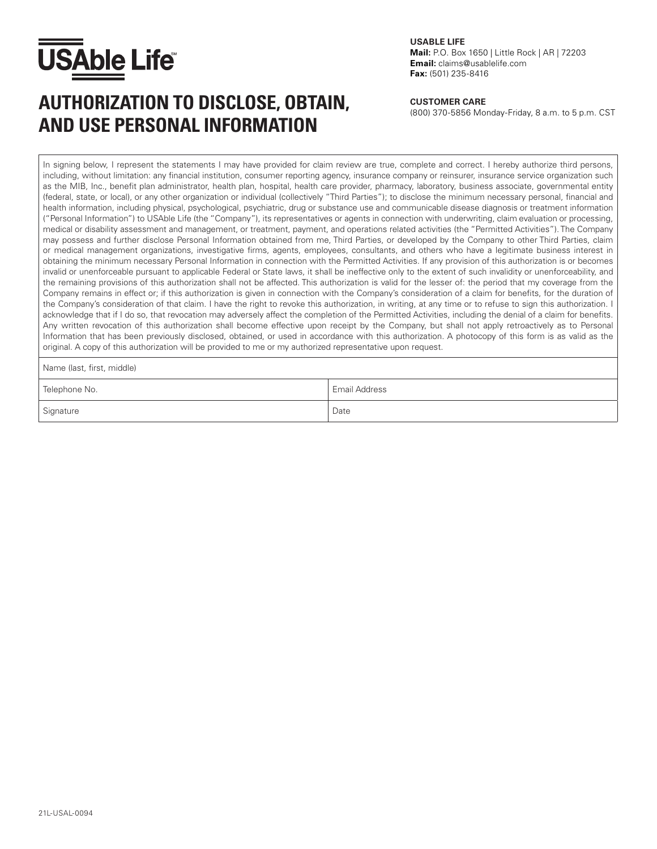

### AUTHORIZATION TO DISCLOSE, OBTAIN, **CUSTOMER CARE**<br>(800) 370-5856 Monday-Friday, 8 a.m. to 5 p.m. CST **AND USE PERSONAL INFORMATION**

**USABLE LIFE** 

**Mail:** P.O. Box 1650 | Little Rock | AR | 72203 **Email:** claims@usablelife.com **Fax:** (501) 235-8416

#### **CUSTOMER CARE**

In signing below, I represent the statements I may have provided for claim review are true, complete and correct. I hereby authorize third persons, including, without limitation: any financial institution, consumer reporting agency, insurance company or reinsurer, insurance service organization such as the MIB, Inc., benefit plan administrator, health plan, hospital, health care provider, pharmacy, laboratory, business associate, governmental entity (federal, state, or local), or any other organization or individual (collectively "Third Parties"); to disclose the minimum necessary personal, financial and health information, including physical, psychological, psychiatric, drug or substance use and communicable disease diagnosis or treatment information ("Personal Information") to USAble Life (the "Company"), its representatives or agents in connection with underwriting, claim evaluation or processing, medical or disability assessment and management, or treatment, payment, and operations related activities (the "Permitted Activities"). The Company may possess and further disclose Personal Information obtained from me, Third Parties, or developed by the Company to other Third Parties, claim or medical management organizations, investigative firms, agents, employees, consultants, and others who have a legitimate business interest in obtaining the minimum necessary Personal Information in connection with the Permitted Activities. If any provision of this authorization is or becomes invalid or unenforceable pursuant to applicable Federal or State laws, it shall be ineffective only to the extent of such invalidity or unenforceability, and the remaining provisions of this authorization shall not be affected. This authorization is valid for the lesser of: the period that my coverage from the Company remains in effect or; if this authorization is given in connection with the Company's consideration of a claim for benefits, for the duration of the Company's consideration of that claim. I have the right to revoke this authorization, in writing, at any time or to refuse to sign this authorization. I acknowledge that if I do so, that revocation may adversely affect the completion of the Permitted Activities, including the denial of a claim for benefits. Any written revocation of this authorization shall become effective upon receipt by the Company, but shall not apply retroactively as to Personal Information that has been previously disclosed, obtained, or used in accordance with this authorization. A photocopy of this form is as valid as the original. A copy of this authorization will be provided to me or my authorized representative upon request.

Name (last, first, middle)

| Telephone No. | Email Address |
|---------------|---------------|
| Signature     | Date          |